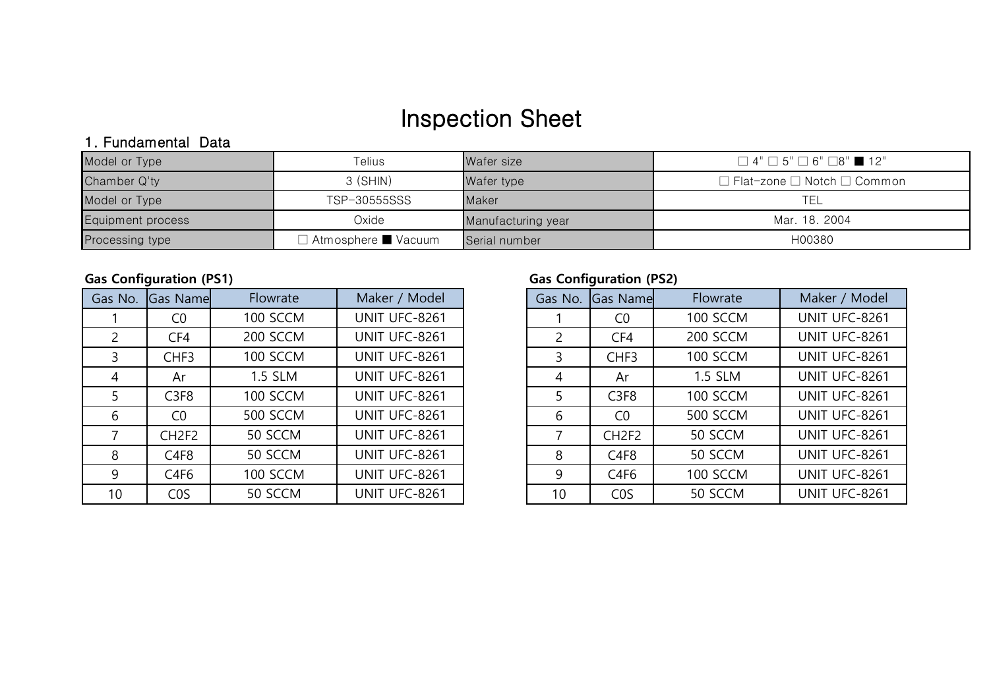# Inspection Sheet

# 1. Fundamental Data

| Model or Type            | Telius            | Wafer size         | $\Box$ 4" $\Box$ 5" $\Box$ 6" $\Box$ 8" $\blacksquare$ 12" |
|--------------------------|-------------------|--------------------|------------------------------------------------------------|
| Chamber Q'ty             | $3$ (SHIN)        | Wafer type         | $\Box$ Flat-zone $\Box$ Notch $\Box$ Common                |
| Model or Type            | TSP-30555SSS      | Maker              | TEL                                                        |
| <b>Equipment process</b> | Oxide             | Manufacturing year | Mar. 18, 2004                                              |
| Processing type          | Atmosphere Vacuum | Serial number      | H00380                                                     |

| Gas No.        | <b>Gas Namel</b>  | Flowrate        | Maker / Model | Gas No.        | <b>Gas Name</b>   |
|----------------|-------------------|-----------------|---------------|----------------|-------------------|
|                | C <sub>0</sub>    | 100 SCCM        | UNIT UFC-8261 |                | C <sub>0</sub>    |
| $\overline{c}$ | CF4               | 200 SCCM        | UNIT UFC-8261 | $\overline{2}$ | CF4               |
| 3              | CHF3              | 100 SCCM        | UNIT UFC-8261 | 3              | CHF3              |
| 4              | Ar                | 1.5 SLM         | UNIT UFC-8261 | 4              | Ar                |
| 5              | C <sub>3F</sub> 8 | 100 SCCM        | UNIT UFC-8261 | 5              | C <sub>3F</sub> 8 |
| 6              | CO                | <b>500 SCCM</b> | UNIT UFC-8261 | 6              | C <sub>0</sub>    |
| 7              | CH <sub>2F2</sub> | 50 SCCM         | UNIT UFC-8261 | 7              | CH <sub>2F2</sub> |
| 8              | C <sub>4F</sub> 8 | 50 SCCM         | UNIT UFC-8261 | 8              | C <sub>4F</sub> 8 |
| 9              | C <sub>4F6</sub>  | 100 SCCM        | UNIT UFC-8261 | 9              | C <sub>4F6</sub>  |
| 10             | C <sub>0</sub> S  | 50 SCCM         | UNIT UFC-8261 | 10             | C <sub>0</sub> S  |

# **Gas Configuration (PS1) Gas Configuration (PS2)**

| Gas No.        | <b>Gas Name</b>   | Flowrate | Maker / Model |
|----------------|-------------------|----------|---------------|
|                | CO                | 100 SCCM | UNIT UFC-8261 |
| $\overline{2}$ | CF4               | 200 SCCM | UNIT UFC-8261 |
| 3              | CHF3              | 100 SCCM | UNIT UFC-8261 |
| 4              | Ar                | 1.5 SLM  | UNIT UFC-8261 |
| 5              | C <sub>3F</sub> 8 | 100 SCCM | UNIT UFC-8261 |
| 6              | CO                | 500 SCCM | UNIT UFC-8261 |
| 7              | CH <sub>2F2</sub> | 50 SCCM  | UNIT UFC-8261 |
| 8              | C <sub>4F</sub> 8 | 50 SCCM  | UNIT UFC-8261 |
| 9              | C <sub>4F6</sub>  | 100 SCCM | UNIT UFC-8261 |
| 10             | C <sub>0</sub> S  | 50 SCCM  | UNIT UFC-8261 |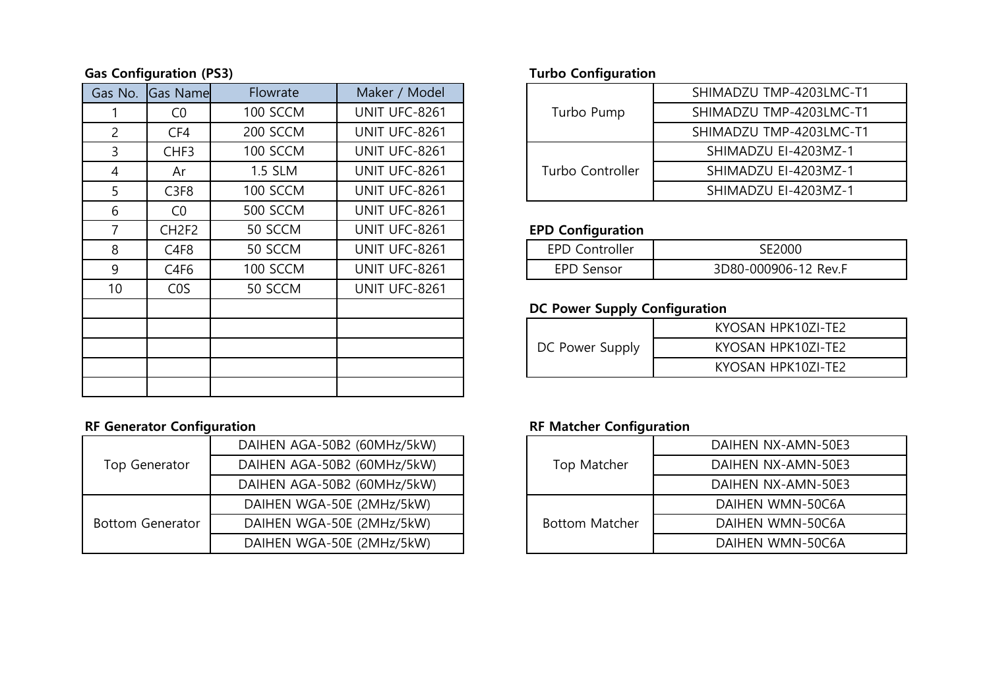### **Gas Configuration (PS3) Turbo Configuration**

| Gas No. | Gas Name          | Flowrate        | Maker / Model |
|---------|-------------------|-----------------|---------------|
| 1       | CO                | <b>100 SCCM</b> | UNIT UFC-8261 |
| 2       | CF4               | 200 SCCM        | UNIT UFC-8261 |
| 3       | CHF <sub>3</sub>  | 100 SCCM        | UNIT UFC-8261 |
| 4       | Ar                | <b>1.5 SLM</b>  | UNIT UFC-8261 |
| 5       | C <sub>3F</sub> 8 | 100 SCCM        | UNIT UFC-8261 |
| 6       | CO                | <b>500 SCCM</b> | UNIT UFC-8261 |
| 7       | CH <sub>2F2</sub> | 50 SCCM         | UNIT UFC-8261 |
| 8       | C <sub>4F</sub> 8 | 50 SCCM         | UNIT UFC-8261 |
| 9       | C4F6              | 100 SCCM        | UNIT UFC-8261 |
| 10      | C <sub>0</sub> S  | 50 SCCM         | UNIT UFC-8261 |
|         |                   |                 |               |
|         |                   |                 |               |
|         |                   |                 |               |
|         |                   |                 |               |
|         |                   |                 |               |

### RF Generator Configuration **RF Matcher Configuration**

|                         | DAIHEN AGA-50B2 (60MHz/5kW) |
|-------------------------|-----------------------------|
| Top Generator           | DAIHEN AGA-50B2 (60MHz/5kW) |
|                         | DAIHEN AGA-50B2 (60MHz/5kW) |
|                         | DAIHEN WGA-50E (2MHz/5kW)   |
| <b>Bottom Generator</b> | DAIHEN WGA-50E (2MHz/5kW)   |
|                         | DAIHEN WGA-50E (2MHz/5kW)   |

| Flowrate | Maker / Model |                  | SHIMADZU TMP-4203LMC-T1 |
|----------|---------------|------------------|-------------------------|
| 100 SCCM | UNIT UFC-8261 | Turbo Pump       | SHIMADZU TMP-4203LMC-T1 |
| 200 SCCM | UNIT UFC-8261 |                  | SHIMADZU TMP-4203LMC-T1 |
| 100 SCCM | UNIT UFC-8261 |                  | SHIMADZU EI-4203MZ-1    |
| 1.5 SLM  | UNIT UFC-8261 | Turbo Controller | SHIMADZU EI-4203MZ-1    |
| 100 SCCM | UNIT UFC-8261 |                  | SHIMADZU EI-4203MZ-1    |
|          |               |                  |                         |

# **EPD Configuration**

| <b>EPD Controller</b> | ペトンハハバ               |
|-----------------------|----------------------|
| <b>EPD Sensor</b>     | 3D80-000906-12 Rev F |

## **DC Power Supply Configuration**

|                 | KYOSAN HPK10ZI-TE2 |
|-----------------|--------------------|
| DC Power Supply | KYOSAN HPK10ZI-TE2 |
|                 | KYOSAN HPK10ZI-TE2 |

|                       | DAIHEN NX-AMN-50E3 |
|-----------------------|--------------------|
| Top Matcher           | DAIHEN NX-AMN-50E3 |
|                       | DAIHEN NX-AMN-50E3 |
|                       | DAIHEN WMN-50C6A   |
| <b>Bottom Matcher</b> | DAIHEN WMN-50C6A   |
|                       | DAIHEN WMN-50C6A   |